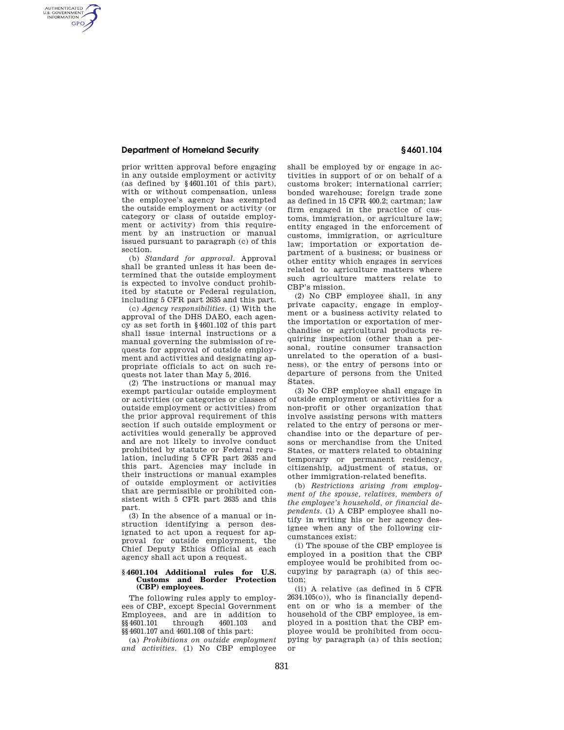## **Department of Homeland Security § 4601.104**

AUTHENTICATED<br>U.S. GOVERNMENT<br>INFORMATION **GPO** 

prior written approval before engaging in any outside employment or activity (as defined by §4601.101 of this part), with or without compensation, unless the employee's agency has exempted the outside employment or activity (or category or class of outside employment or activity) from this requirement by an instruction or manual issued pursuant to paragraph (c) of this section.

(b) *Standard for approval.* Approval shall be granted unless it has been determined that the outside employment is expected to involve conduct prohibited by statute or Federal regulation, including 5 CFR part 2635 and this part.

(c) *Agency responsibilities.* (1) With the approval of the DHS DAEO, each agency as set forth in §4601.102 of this part shall issue internal instructions or a manual governing the submission of requests for approval of outside employment and activities and designating appropriate officials to act on such requests not later than May 5, 2016.

(2) The instructions or manual may exempt particular outside employment or activities (or categories or classes of outside employment or activities) from the prior approval requirement of this section if such outside employment or activities would generally be approved and are not likely to involve conduct prohibited by statute or Federal regulation, including 5 CFR part 2635 and this part. Agencies may include in their instructions or manual examples of outside employment or activities that are permissible or prohibited consistent with 5 CFR part 2635 and this part.

(3) In the absence of a manual or instruction identifying a person designated to act upon a request for approval for outside employment, the Chief Deputy Ethics Official at each agency shall act upon a request.

#### **§ 4601.104 Additional rules for U.S. Customs and Border Protection (CBP) employees.**

The following rules apply to employees of CBP, except Special Government Employees, and are in addition to<br>\$\$4601.101 through 4601.103 and §§ 4601.101 §§4601.107 and 4601.108 of this part:

(a) *Prohibitions on outside employment and activities.* (1) No CBP employee shall be employed by or engage in activities in support of or on behalf of a customs broker; international carrier; bonded warehouse; foreign trade zone as defined in 15 CFR 400.2; cartman; law firm engaged in the practice of customs, immigration, or agriculture law; entity engaged in the enforcement of customs, immigration, or agriculture law; importation or exportation department of a business; or business or other entity which engages in services related to agriculture matters where such agriculture matters relate to CBP's mission.

(2) No CBP employee shall, in any private capacity, engage in employment or a business activity related to the importation or exportation of merchandise or agricultural products requiring inspection (other than a personal, routine consumer transaction unrelated to the operation of a business), or the entry of persons into or departure of persons from the United States.

(3) No CBP employee shall engage in outside employment or activities for a non-profit or other organization that involve assisting persons with matters related to the entry of persons or merchandise into or the departure of persons or merchandise from the United States, or matters related to obtaining temporary or permanent residency, citizenship, adjustment of status, or other immigration-related benefits.

(b) *Restrictions arising from employment of the spouse, relatives, members of the employee's household, or financial dependents.* (1) A CBP employee shall notify in writing his or her agency designee when any of the following circumstances exist:

(i) The spouse of the CBP employee is employed in a position that the CBP employee would be prohibited from occupying by paragraph (a) of this section;

(ii) A relative (as defined in 5 CFR 2634.105(o)), who is financially dependent on or who is a member of the household of the CBP employee, is employed in a position that the CBP employee would be prohibited from occupying by paragraph (a) of this section; or